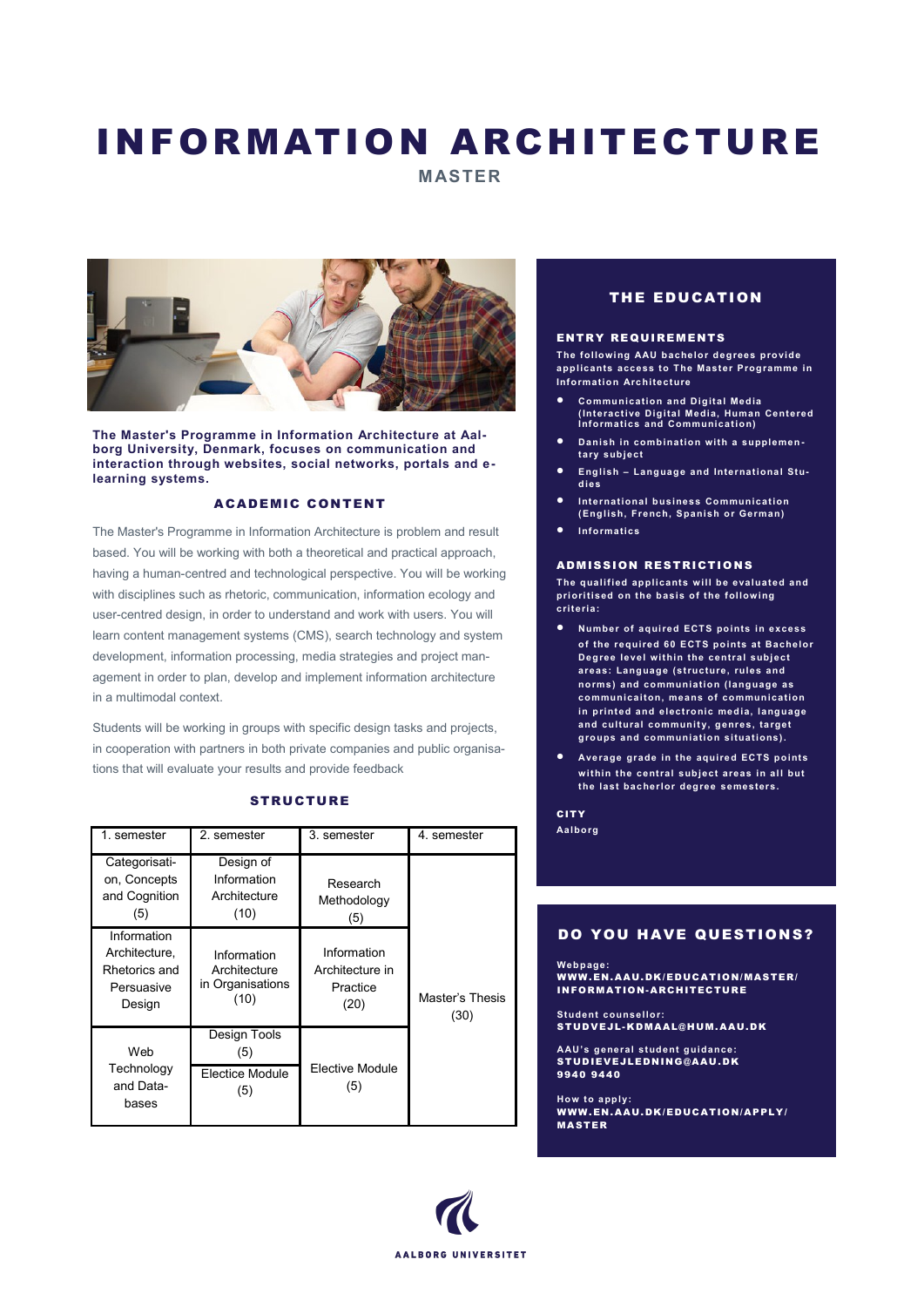# INFORMATION ARCHITECTURE

**MASTER**



**The Master's Programme in Information Architecture at Aalborg University, Denmark, focuses on communication and interaction through websites, social networks, portals and elearning systems.**

# ACADEMIC CONTENT

The Master's Programme in Information Architecture is problem and result based. You will be working with both a theoretical and practical approach, having a human-centred and technological perspective. You will be working with disciplines such as rhetoric, communication, information ecology and user-centred design, in order to understand and work with users. You will learn content management systems (CMS), search technology and system development, information processing, media strategies and project management in order to plan, develop and implement information architecture in a multimodal context.

Students will be working in groups with specific design tasks and projects, in cooperation with partners in both private companies and public organisations that will evaluate your results and provide feedback

| 1. semester                                                           | 2. semester                                             | 3. semester                                        | 4. semester             | Aalborg                                                                              |
|-----------------------------------------------------------------------|---------------------------------------------------------|----------------------------------------------------|-------------------------|--------------------------------------------------------------------------------------|
| Categorisati-<br>on, Concepts<br>and Cognition<br>(5)                 | Design of<br>Information<br>Architecture<br>(10)        | Research<br>Methodology<br>(5)                     | Master's Thesis<br>(30) |                                                                                      |
| Information<br>Architecture,<br>Rhetorics and<br>Persuasive<br>Design | Information<br>Architecture<br>in Organisations<br>(10) | Information<br>Architecture in<br>Practice<br>(20) |                         | DO Y<br>Webpag<br>WWW.E<br><b>INFOR</b><br><b>Student</b>                            |
| Web<br>Technology<br>and Data-<br>bases                               | Design Tools<br>(5)<br>Electice Module<br>(5)           | Elective Module<br>(5)                             |                         | <b>STUDV</b><br>AAU's g<br><b>STUDI</b><br>9940 9<br>How to<br>WWW.E<br><b>MASTE</b> |

#### **STRUCTURE**

# THE EDUCATION

#### ENTRY REQUIREMENTS

**T he following AAU bachelor degrees provide applicants access to T he Master Programme in Information Arc hitecture**

- **Communication and Digital Media (Interactive Digital Media, Human Centered Informatics and Communication)**
- **Danish in combination with a supplementary subject**
- **English – Language and International Studies**
- **International business Communication (English, French, Spanish or German)**
- **Informatics**

#### ADMISSION RESTRICTIO NS

**T he qualified applicants will be evaluated and prioritised on the basis of the following criteria:**

- **Number of aquired ECT S points in excess of the required 60 ECT S points at Bachelor Degree level within the central subject areas: Language (structure, rules and norms) and communiation (language as communicaiton, means of communication in printed and electronic media, language and cultural communit y, genres, target groups and communiation situations).**
- **Average grade in the aquired ECTS points within the central subject areas in all but the last bacherlor degree semesters.**

**CITY** 

# DO YOU HAVE QUESTIONS?

**Webpage:** WWW.EN.AAU.DK/EDUCATION/MASTER/ INFORMATION -ARCHITECTURE

**Student counsellor:** STUDVEJL- KDMAAL@HUM. AAU.DK

**AAU's general student guidance:** STUDIEVEJLEDNING@AAU.DK 9940 9440

**How to apply:** WWW.EN.AAU.DK/EDUCATION/APPLY/ MASTER